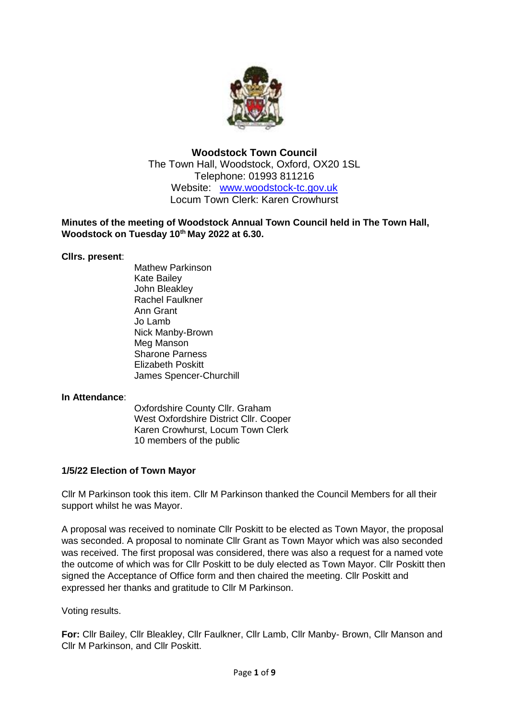

# **Woodstock Town Council** The Town Hall, Woodstock, Oxford, OX20 1SL Telephone: 01993 811216 Website: [www.woodstock-tc.gov.](http://www.woodstock-tc.gov/)uk Locum Town Clerk: Karen Crowhurst

## **Minutes of the meeting of Woodstock Annual Town Council held in The Town Hall, Woodstock on Tuesday 10th May 2022 at 6.30.**

## **Cllrs. present**:

Mathew Parkinson Kate Bailey John Bleakley Rachel Faulkner Ann Grant Jo Lamb Nick Manby-Brown Meg Manson Sharone Parness Elizabeth Poskitt James Spencer-Churchill

## **In Attendance**:

Oxfordshire County Cllr. Graham West Oxfordshire District Cllr. Cooper Karen Crowhurst, Locum Town Clerk 10 members of the public

# **1/5/22 Election of Town Mayor**

Cllr M Parkinson took this item. Cllr M Parkinson thanked the Council Members for all their support whilst he was Mayor.

A proposal was received to nominate Cllr Poskitt to be elected as Town Mayor, the proposal was seconded. A proposal to nominate Cllr Grant as Town Mayor which was also seconded was received. The first proposal was considered, there was also a request for a named vote the outcome of which was for Cllr Poskitt to be duly elected as Town Mayor. Cllr Poskitt then signed the Acceptance of Office form and then chaired the meeting. Cllr Poskitt and expressed her thanks and gratitude to Cllr M Parkinson.

Voting results.

**For:** Cllr Bailey, Cllr Bleakley, Cllr Faulkner, Cllr Lamb, Cllr Manby- Brown, Cllr Manson and Cllr M Parkinson, and Cllr Poskitt.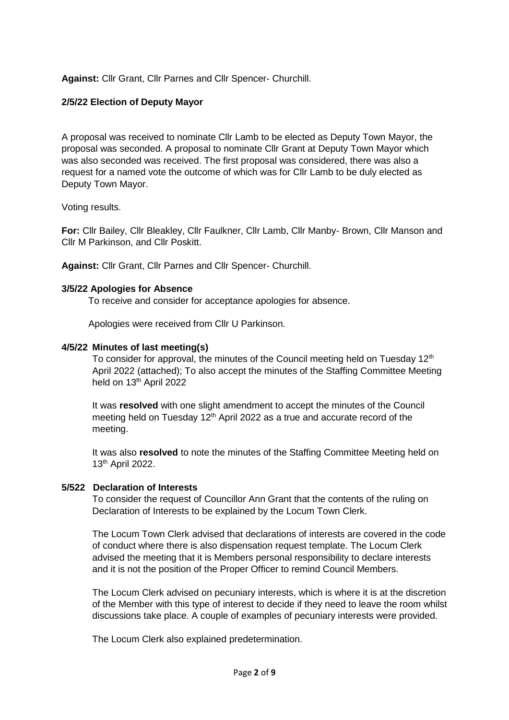## **Against:** Cllr Grant, Cllr Parnes and Cllr Spencer- Churchill.

## **2/5/22 Election of Deputy Mayor**

A proposal was received to nominate Cllr Lamb to be elected as Deputy Town Mayor, the proposal was seconded. A proposal to nominate Cllr Grant at Deputy Town Mayor which was also seconded was received. The first proposal was considered, there was also a request for a named vote the outcome of which was for Cllr Lamb to be duly elected as Deputy Town Mayor.

Voting results.

**For:** Cllr Bailey, Cllr Bleakley, Cllr Faulkner, Cllr Lamb, Cllr Manby- Brown, Cllr Manson and Cllr M Parkinson, and Cllr Poskitt.

**Against:** Cllr Grant, Cllr Parnes and Cllr Spencer- Churchill.

### **3/5/22 Apologies for Absence**

To receive and consider for acceptance apologies for absence.

Apologies were received from Cllr U Parkinson.

### **4/5/22 Minutes of last meeting(s)**

To consider for approval, the minutes of the Council meeting held on Tuesday 12<sup>th</sup> April 2022 (attached); To also accept the minutes of the Staffing Committee Meeting held on 13<sup>th</sup> April 2022

It was **resolved** with one slight amendment to accept the minutes of the Council meeting held on Tuesday 12<sup>th</sup> April 2022 as a true and accurate record of the meeting.

It was also **resolved** to note the minutes of the Staffing Committee Meeting held on 13th April 2022.

#### **5/522 Declaration of Interests**

To consider the request of Councillor Ann Grant that the contents of the ruling on Declaration of Interests to be explained by the Locum Town Clerk.

The Locum Town Clerk advised that declarations of interests are covered in the code of conduct where there is also dispensation request template. The Locum Clerk advised the meeting that it is Members personal responsibility to declare interests and it is not the position of the Proper Officer to remind Council Members.

The Locum Clerk advised on pecuniary interests, which is where it is at the discretion of the Member with this type of interest to decide if they need to leave the room whilst discussions take place. A couple of examples of pecuniary interests were provided.

The Locum Clerk also explained predetermination.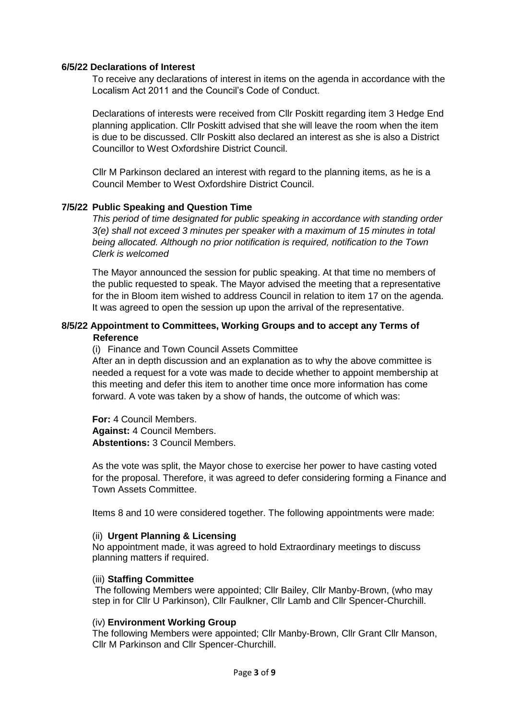#### **6/5/22 Declarations of Interest**

To receive any declarations of interest in items on the agenda in accordance with the Localism Act 2011 and the Council's Code of Conduct.

Declarations of interests were received from Cllr Poskitt regarding item 3 Hedge End planning application. Cllr Poskitt advised that she will leave the room when the item is due to be discussed. Cllr Poskitt also declared an interest as she is also a District Councillor to West Oxfordshire District Council.

Cllr M Parkinson declared an interest with regard to the planning items, as he is a Council Member to West Oxfordshire District Council.

### **7/5/22 Public Speaking and Question Time**

*This period of time designated for public speaking in accordance with standing order 3(e) shall not exceed 3 minutes per speaker with a maximum of 15 minutes in total being allocated. Although no prior notification is required, notification to the Town Clerk is welcomed*

The Mayor announced the session for public speaking. At that time no members of the public requested to speak. The Mayor advised the meeting that a representative for the in Bloom item wished to address Council in relation to item 17 on the agenda. It was agreed to open the session up upon the arrival of the representative.

### **8/5/22 Appointment to Committees, Working Groups and to accept any Terms of Reference**

(i) Finance and Town Council Assets Committee

After an in depth discussion and an explanation as to why the above committee is needed a request for a vote was made to decide whether to appoint membership at this meeting and defer this item to another time once more information has come forward. A vote was taken by a show of hands, the outcome of which was:

**For:** 4 Council Members. **Against:** 4 Council Members. **Abstentions:** 3 Council Members.

As the vote was split, the Mayor chose to exercise her power to have casting voted for the proposal. Therefore, it was agreed to defer considering forming a Finance and Town Assets Committee.

Items 8 and 10 were considered together. The following appointments were made:

#### (ii) **Urgent Planning & Licensing**

No appointment made, it was agreed to hold Extraordinary meetings to discuss planning matters if required.

#### (iii) **Staffing Committee**

The following Members were appointed; Cllr Bailey, Cllr Manby-Brown, (who may step in for Cllr U Parkinson), Cllr Faulkner, Cllr Lamb and Cllr Spencer-Churchill.

#### (iv) **Environment Working Group**

The following Members were appointed; Cllr Manby-Brown, Cllr Grant Cllr Manson, Cllr M Parkinson and Cllr Spencer-Churchill.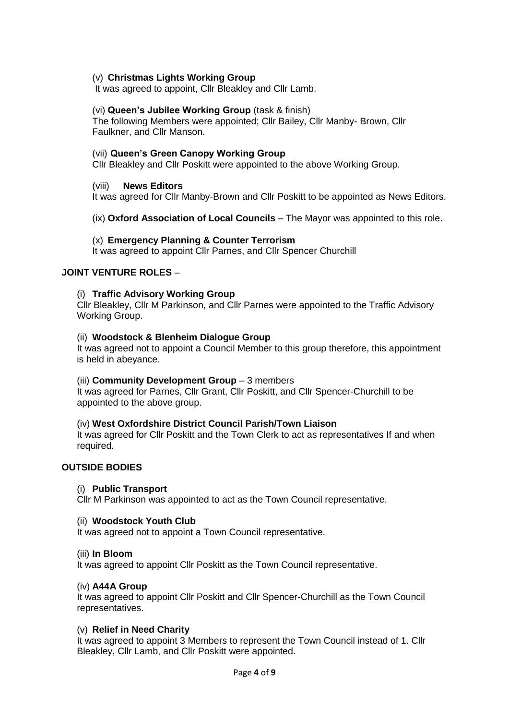### (v) **Christmas Lights Working Group**

It was agreed to appoint, Cllr Bleakley and Cllr Lamb.

#### (vi) **Queen's Jubilee Working Group** (task & finish)

The following Members were appointed; Cllr Bailey, Cllr Manby- Brown, Cllr Faulkner, and Cllr Manson.

### (vii) **Queen's Green Canopy Working Group**

Cllr Bleakley and Cllr Poskitt were appointed to the above Working Group.

### (viii) **News Editors**

It was agreed for Cllr Manby-Brown and Cllr Poskitt to be appointed as News Editors.

(ix) **Oxford Association of Local Councils** – The Mayor was appointed to this role.

### (x) **Emergency Planning & Counter Terrorism**

It was agreed to appoint Cllr Parnes, and Cllr Spencer Churchill

### **JOINT VENTURE ROLES** –

### (i) **Traffic Advisory Working Group**

Cllr Bleakley, Cllr M Parkinson, and Cllr Parnes were appointed to the Traffic Advisory Working Group.

#### (ii) **Woodstock & Blenheim Dialogue Group**

It was agreed not to appoint a Council Member to this group therefore, this appointment is held in abeyance.

#### (iii) **Community Development Group** – 3 members

It was agreed for Parnes, Cllr Grant, Cllr Poskitt, and Cllr Spencer-Churchill to be appointed to the above group.

#### (iv) **West Oxfordshire District Council Parish/Town Liaison**

It was agreed for Cllr Poskitt and the Town Clerk to act as representatives If and when required.

## **OUTSIDE BODIES**

#### (i) **Public Transport**

Cllr M Parkinson was appointed to act as the Town Council representative.

#### (ii) **Woodstock Youth Club**

It was agreed not to appoint a Town Council representative.

#### (iii) **In Bloom**

It was agreed to appoint Cllr Poskitt as the Town Council representative.

## (iv) **A44A Group**

It was agreed to appoint Cllr Poskitt and Cllr Spencer-Churchill as the Town Council representatives.

#### (v) **Relief in Need Charity**

It was agreed to appoint 3 Members to represent the Town Council instead of 1. Cllr Bleakley, Cllr Lamb, and Cllr Poskitt were appointed.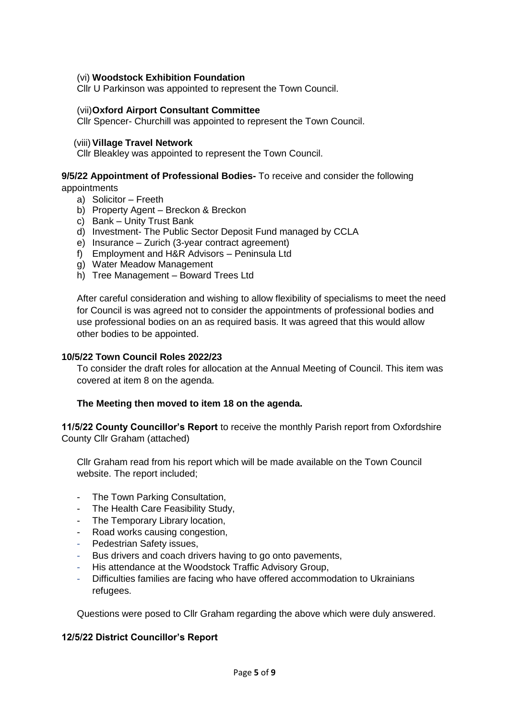### (vi) **Woodstock Exhibition Foundation**

Cllr U Parkinson was appointed to represent the Town Council.

### (vii)**Oxford Airport Consultant Committee**

Cllr Spencer- Churchill was appointed to represent the Town Council.

### (viii) **Village Travel Network**

Cllr Bleakley was appointed to represent the Town Council.

### **9/5/22 Appointment of Professional Bodies-** To receive and consider the following appointments

- a) Solicitor Freeth
- b) Property Agent Breckon & Breckon
- c) Bank Unity Trust Bank
- d) Investment- The Public Sector Deposit Fund managed by CCLA
- e) Insurance Zurich (3-year contract agreement)
- f) Employment and H&R Advisors Peninsula Ltd
- g) Water Meadow Management
- h) Tree Management Boward Trees Ltd

After careful consideration and wishing to allow flexibility of specialisms to meet the need for Council is was agreed not to consider the appointments of professional bodies and use professional bodies on an as required basis. It was agreed that this would allow other bodies to be appointed.

#### **10/5/22 Town Council Roles 2022/23**

To consider the draft roles for allocation at the Annual Meeting of Council. This item was covered at item 8 on the agenda.

#### **The Meeting then moved to item 18 on the agenda.**

**11/5/22 County Councillor's Report** to receive the monthly Parish report from Oxfordshire County Cllr Graham (attached)

Cllr Graham read from his report which will be made available on the Town Council website. The report included;

- The Town Parking Consultation,
- The Health Care Feasibility Study,
- The Temporary Library location,
- Road works causing congestion,
- Pedestrian Safety issues.
- Bus drivers and coach drivers having to go onto pavements,
- His attendance at the Woodstock Traffic Advisory Group,
- Difficulties families are facing who have offered accommodation to Ukrainians refugees.

Questions were posed to Cllr Graham regarding the above which were duly answered.

## **12/5/22 District Councillor's Report**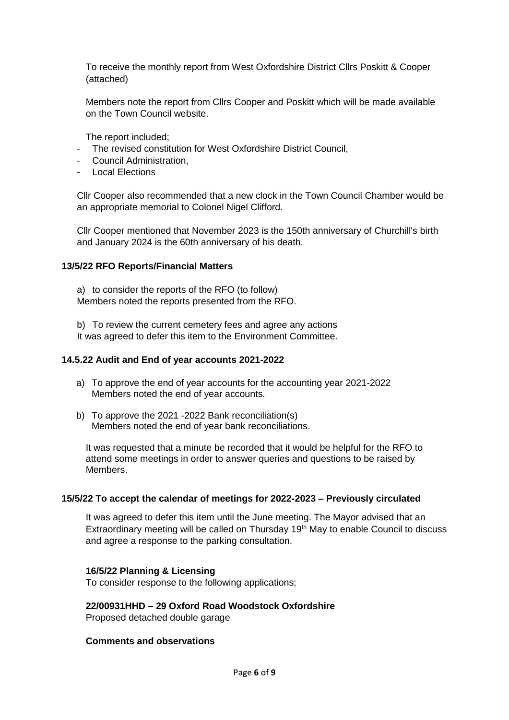To receive the monthly report from West Oxfordshire District Cllrs Poskitt & Cooper (attached)

Members note the report from Cllrs Cooper and Poskitt which will be made available on the Town Council website.

The report included;

- The revised constitution for West Oxfordshire District Council,
- Council Administration,
- Local Elections

Cllr Cooper also recommended that a new clock in the Town Council Chamber would be an appropriate memorial to Colonel Nigel Clifford.

Cllr Cooper mentioned that November 2023 is the 150th anniversary of Churchill's birth and January 2024 is the 60th anniversary of his death.

#### **13/5/22 RFO Reports/Financial Matters**

a) to consider the reports of the RFO (to follow) Members noted the reports presented from the RFO.

b) To review the current cemetery fees and agree any actions It was agreed to defer this item to the Environment Committee.

#### **14.5.22 Audit and End of year accounts 2021-2022**

- a) To approve the end of year accounts for the accounting year 2021-2022 Members noted the end of year accounts.
- b) To approve the 2021 -2022 Bank reconciliation(s) Members noted the end of year bank reconciliations.

It was requested that a minute be recorded that it would be helpful for the RFO to attend some meetings in order to answer queries and questions to be raised by Members.

#### **15/5/22 To accept the calendar of meetings for 2022-2023 – Previously circulated**

It was agreed to defer this item until the June meeting. The Mayor advised that an Extraordinary meeting will be called on Thursday 19<sup>th</sup> May to enable Council to discuss and agree a response to the parking consultation.

#### **16/5/22 Planning & Licensing**

To consider response to the following applications;

### **22/00931HHD – 29 Oxford Road Woodstock Oxfordshire**

Proposed detached double garage

#### **Comments and observations**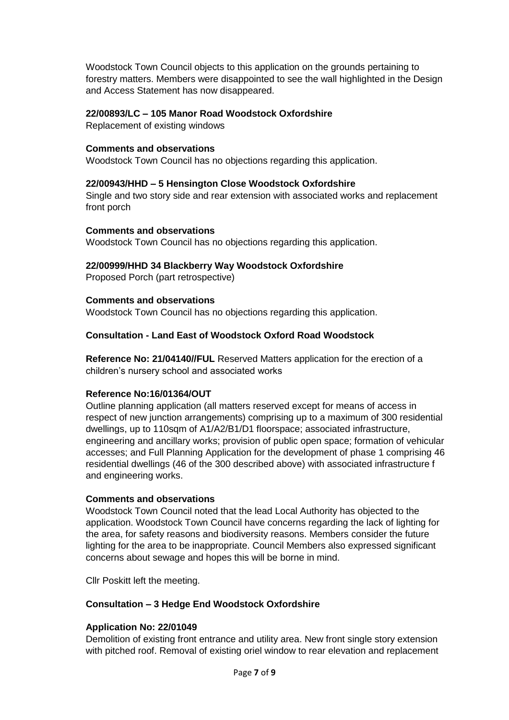Woodstock Town Council objects to this application on the grounds pertaining to forestry matters. Members were disappointed to see the wall highlighted in the Design and Access Statement has now disappeared.

## **22/00893/LC – 105 Manor Road Woodstock Oxfordshire**

Replacement of existing windows

### **Comments and observations**

Woodstock Town Council has no objections regarding this application.

## **22/00943/HHD – 5 Hensington Close Woodstock Oxfordshire**

Single and two story side and rear extension with associated works and replacement front porch

### **Comments and observations**

Woodstock Town Council has no objections regarding this application.

### **22/00999/HHD 34 Blackberry Way Woodstock Oxfordshire**

Proposed Porch (part retrospective)

## **Comments and observations**

Woodstock Town Council has no objections regarding this application.

## **Consultation - Land East of Woodstock Oxford Road Woodstock**

**Reference No: 21/04140//FUL** Reserved Matters application for the erection of a children's nursery school and associated works

#### **Reference No:16/01364/OUT**

Outline planning application (all matters reserved except for means of access in respect of new junction arrangements) comprising up to a maximum of 300 residential dwellings, up to 110sqm of A1/A2/B1/D1 floorspace; associated infrastructure, engineering and ancillary works; provision of public open space; formation of vehicular accesses; and Full Planning Application for the development of phase 1 comprising 46 residential dwellings (46 of the 300 described above) with associated infrastructure f and engineering works.

#### **Comments and observations**

Woodstock Town Council noted that the lead Local Authority has objected to the application. Woodstock Town Council have concerns regarding the lack of lighting for the area, for safety reasons and biodiversity reasons. Members consider the future lighting for the area to be inappropriate. Council Members also expressed significant concerns about sewage and hopes this will be borne in mind.

Cllr Poskitt left the meeting.

## **Consultation – 3 Hedge End Woodstock Oxfordshire**

## **Application No: 22/01049**

Demolition of existing front entrance and utility area. New front single story extension with pitched roof. Removal of existing oriel window to rear elevation and replacement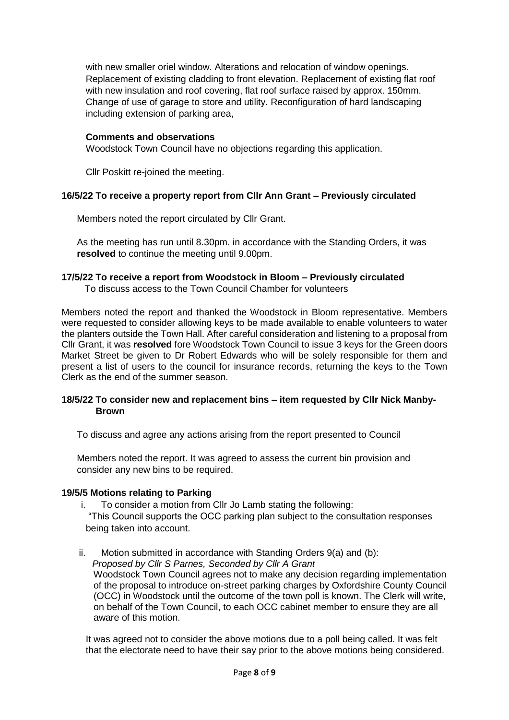with new smaller oriel window. Alterations and relocation of window openings. Replacement of existing cladding to front elevation. Replacement of existing flat roof with new insulation and roof covering, flat roof surface raised by approx, 150mm. Change of use of garage to store and utility. Reconfiguration of hard landscaping including extension of parking area,

## **Comments and observations**

Woodstock Town Council have no objections regarding this application.

Cllr Poskitt re-joined the meeting.

## **16/5/22 To receive a property report from Cllr Ann Grant – Previously circulated**

Members noted the report circulated by Cllr Grant.

As the meeting has run until 8.30pm. in accordance with the Standing Orders, it was **resolved** to continue the meeting until 9.00pm.

## **17/5/22 To receive a report from Woodstock in Bloom – Previously circulated**

To discuss access to the Town Council Chamber for volunteers

Members noted the report and thanked the Woodstock in Bloom representative. Members were requested to consider allowing keys to be made available to enable volunteers to water the planters outside the Town Hall. After careful consideration and listening to a proposal from Cllr Grant, it was **resolved** fore Woodstock Town Council to issue 3 keys for the Green doors Market Street be given to Dr Robert Edwards who will be solely responsible for them and present a list of users to the council for insurance records, returning the keys to the Town Clerk as the end of the summer season.

## **18/5/22 To consider new and replacement bins – item requested by Cllr Nick Manby- Brown**

To discuss and agree any actions arising from the report presented to Council

Members noted the report. It was agreed to assess the current bin provision and consider any new bins to be required.

## **19/5/5 Motions relating to Parking**

i. To consider a motion from Cllr Jo Lamb stating the following:

"This Council supports the OCC parking plan subject to the consultation responses being taken into account.

ii. Motion submitted in accordance with Standing Orders 9(a) and (b): *Proposed by Cllr S Parnes, Seconded by Cllr A Grant* Woodstock Town Council agrees not to make any decision regarding implementation of the proposal to introduce on-street parking charges by Oxfordshire County Council (OCC) in Woodstock until the outcome of the town poll is known. The Clerk will write, on behalf of the Town Council, to each OCC cabinet member to ensure they are all aware of this motion.

It was agreed not to consider the above motions due to a poll being called. It was felt that the electorate need to have their say prior to the above motions being considered.